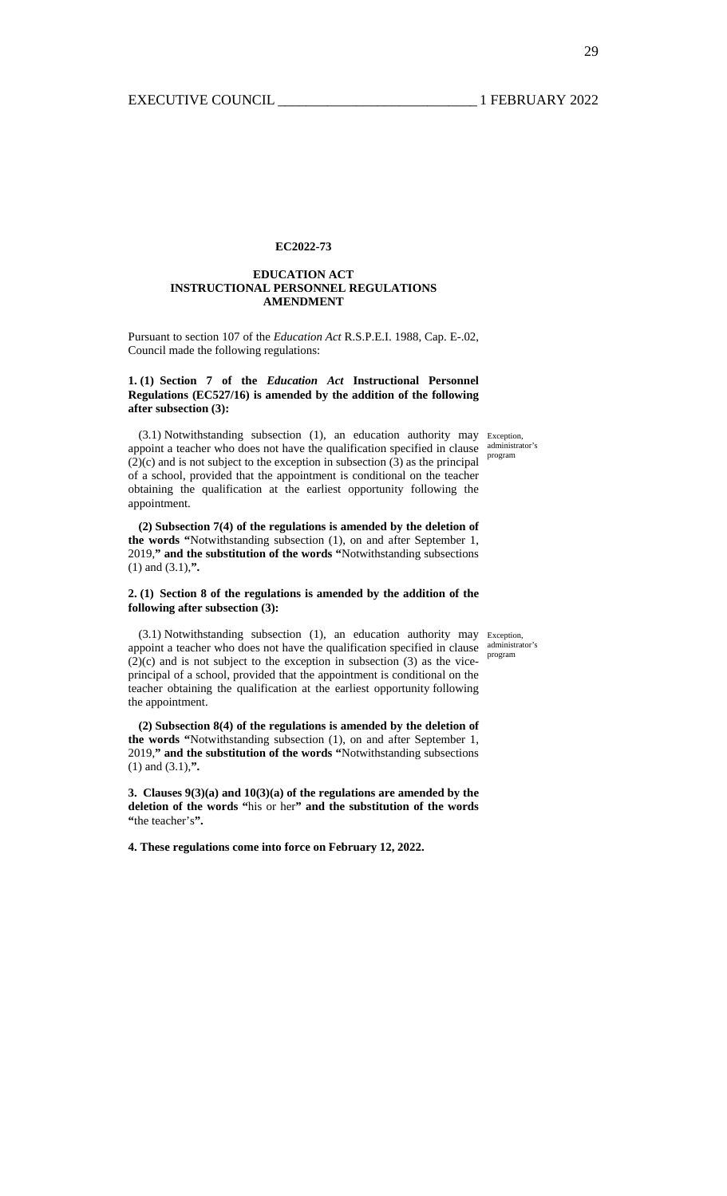### **EC2022-73**

### **EDUCATION ACT INSTRUCTIONAL PERSONNEL REGULATIONS AMENDMENT**

Pursuant to section 107 of the *Education Act* R.S.P.E.I. 1988, Cap. E-.02, Council made the following regulations:

## **1. (1) Section 7 of the** *Education Act* **Instructional Personnel Regulations (EC527/16) is amended by the addition of the following after subsection (3):**

program

(3.1) Notwithstanding subsection (1), an education authority may Exception, appoint a teacher who does not have the qualification specified in clause  $\frac{\text{administrate's}}{\text{administrate}}$  $(2)(c)$  and is not subject to the exception in subsection  $(3)$  as the principal of a school, provided that the appointment is conditional on the teacher obtaining the qualification at the earliest opportunity following the appointment.

**(2) Subsection 7(4) of the regulations is amended by the deletion of the words "**Notwithstanding subsection (1), on and after September 1, 2019,**" and the substitution of the words "**Notwithstanding subsections (1) and (3.1),**".** 

### **2. (1) Section 8 of the regulations is amended by the addition of the following after subsection (3):**

(3.1) Notwithstanding subsection (1), an education authority may Exception, appoint a teacher who does not have the qualification specified in clause  $\frac{\text{administrate's}}{\text{administrate}}$  $(2)(c)$  and is not subject to the exception in subsection (3) as the viceprincipal of a school, provided that the appointment is conditional on the teacher obtaining the qualification at the earliest opportunity following the appointment.

**(2) Subsection 8(4) of the regulations is amended by the deletion of the words "**Notwithstanding subsection (1), on and after September 1, 2019,**" and the substitution of the words "**Notwithstanding subsections (1) and (3.1),**".** 

**3. Clauses 9(3)(a) and 10(3)(a) of the regulations are amended by the deletion of the words "**his or her**" and the substitution of the words "**the teacher's**".** 

**4. These regulations come into force on February 12, 2022.**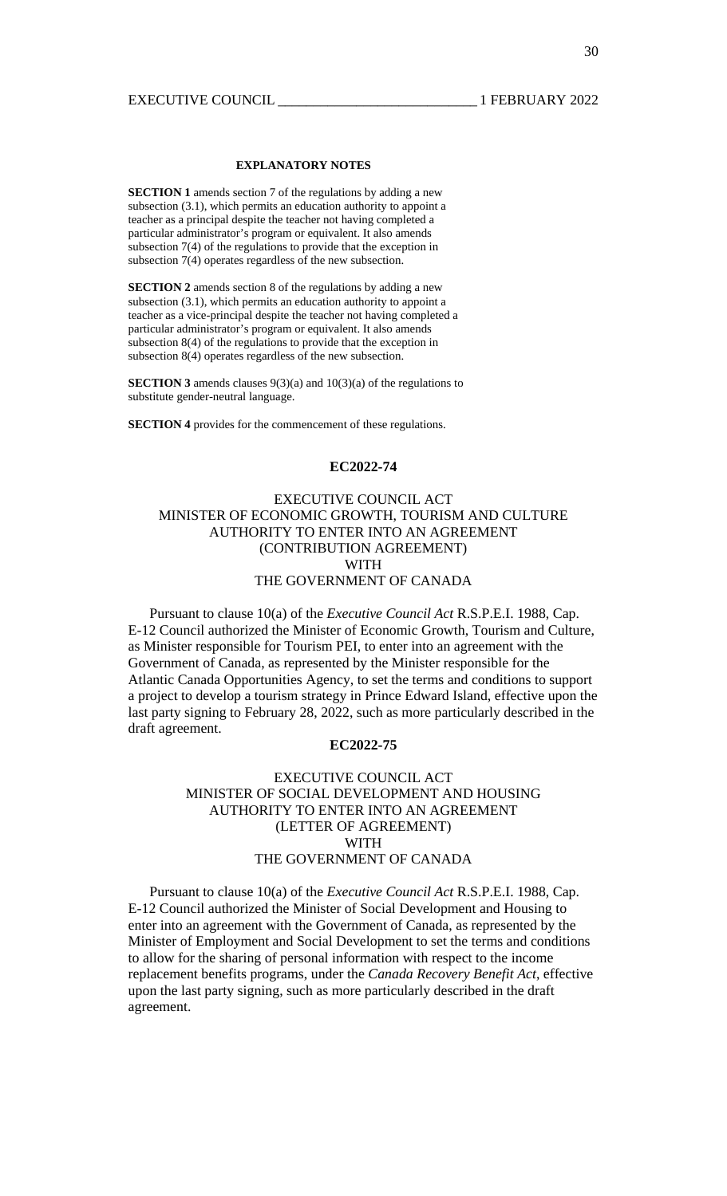## **EXPLANATORY NOTES**

**SECTION 1** amends section 7 of the regulations by adding a new subsection (3.1), which permits an education authority to appoint a teacher as a principal despite the teacher not having completed a particular administrator's program or equivalent. It also amends subsection 7(4) of the regulations to provide that the exception in subsection 7(4) operates regardless of the new subsection.

**SECTION 2** amends section 8 of the regulations by adding a new subsection (3.1), which permits an education authority to appoint a teacher as a vice-principal despite the teacher not having completed a particular administrator's program or equivalent. It also amends subsection 8(4) of the regulations to provide that the exception in subsection 8(4) operates regardless of the new subsection.

**SECTION 3** amends clauses 9(3)(a) and 10(3)(a) of the regulations to substitute gender-neutral language.

**SECTION 4** provides for the commencement of these regulations.

# **EC2022-74**

# EXECUTIVE COUNCIL ACT MINISTER OF ECONOMIC GROWTH, TOURISM AND CULTURE AUTHORITY TO ENTER INTO AN AGREEMENT (CONTRIBUTION AGREEMENT) WITH THE GOVERNMENT OF CANADA

 Pursuant to clause 10(a) of the *Executive Council Act* R.S.P.E.I. 1988, Cap. E-12 Council authorized the Minister of Economic Growth, Tourism and Culture, as Minister responsible for Tourism PEI, to enter into an agreement with the Government of Canada, as represented by the Minister responsible for the Atlantic Canada Opportunities Agency, to set the terms and conditions to support a project to develop a tourism strategy in Prince Edward Island, effective upon the last party signing to February 28, 2022, such as more particularly described in the draft agreement.

## **EC2022-75**

# EXECUTIVE COUNCIL ACT MINISTER OF SOCIAL DEVELOPMENT AND HOUSING AUTHORITY TO ENTER INTO AN AGREEMENT (LETTER OF AGREEMENT) WITH THE GOVERNMENT OF CANADA

 Pursuant to clause 10(a) of the *Executive Council Act* R.S.P.E.I. 1988, Cap. E-12 Council authorized the Minister of Social Development and Housing to enter into an agreement with the Government of Canada, as represented by the Minister of Employment and Social Development to set the terms and conditions to allow for the sharing of personal information with respect to the income replacement benefits programs, under the *Canada Recovery Benefit Act*, effective upon the last party signing, such as more particularly described in the draft agreement.